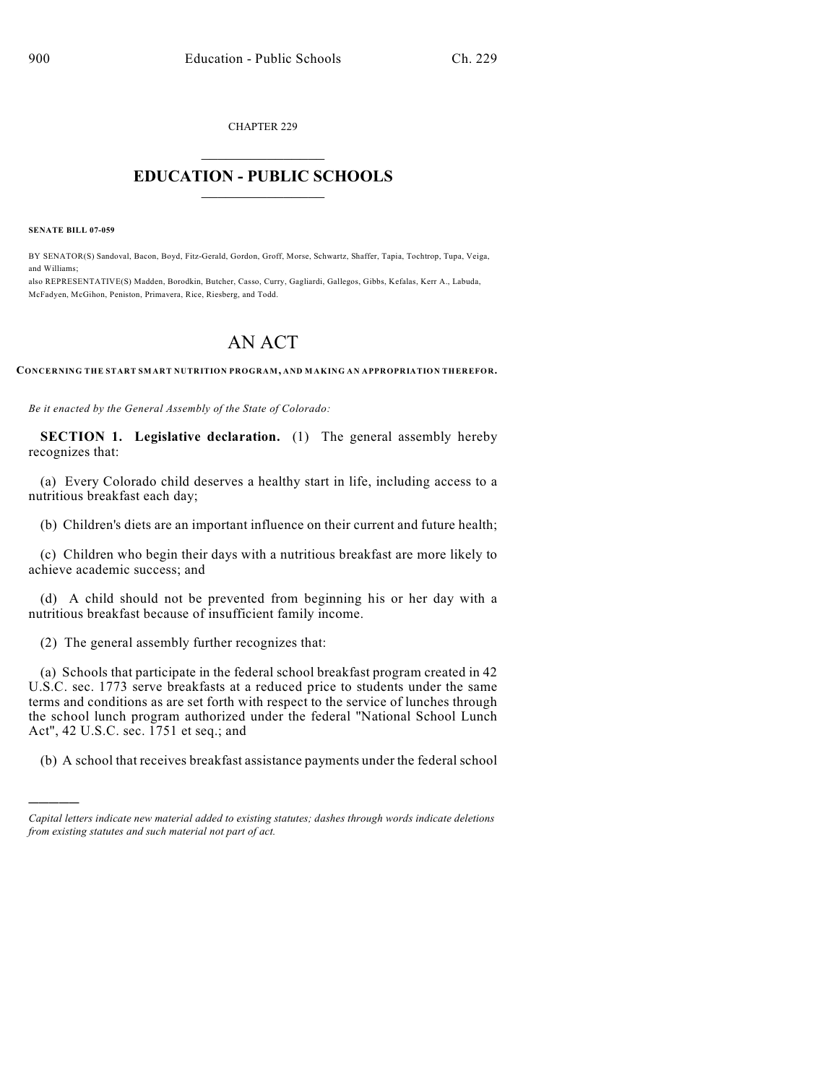CHAPTER 229  $\mathcal{L}_\text{max}$  . The set of the set of the set of the set of the set of the set of the set of the set of the set of the set of the set of the set of the set of the set of the set of the set of the set of the set of the set

## **EDUCATION - PUBLIC SCHOOLS**  $\_$   $\_$   $\_$   $\_$   $\_$   $\_$   $\_$   $\_$   $\_$

**SENATE BILL 07-059**

)))))

BY SENATOR(S) Sandoval, Bacon, Boyd, Fitz-Gerald, Gordon, Groff, Morse, Schwartz, Shaffer, Tapia, Tochtrop, Tupa, Veiga, and Williams;

also REPRESENTATIVE(S) Madden, Borodkin, Butcher, Casso, Curry, Gagliardi, Gallegos, Gibbs, Kefalas, Kerr A., Labuda, McFadyen, McGihon, Peniston, Primavera, Rice, Riesberg, and Todd.

## AN ACT

**CONCERNING THE START SMART NUTRITION PROGRAM, AND MAKING AN APPROPRIATION THEREFOR.**

*Be it enacted by the General Assembly of the State of Colorado:*

**SECTION 1. Legislative declaration.** (1) The general assembly hereby recognizes that:

(a) Every Colorado child deserves a healthy start in life, including access to a nutritious breakfast each day;

(b) Children's diets are an important influence on their current and future health;

(c) Children who begin their days with a nutritious breakfast are more likely to achieve academic success; and

(d) A child should not be prevented from beginning his or her day with a nutritious breakfast because of insufficient family income.

(2) The general assembly further recognizes that:

(a) Schools that participate in the federal school breakfast program created in 42 U.S.C. sec. 1773 serve breakfasts at a reduced price to students under the same terms and conditions as are set forth with respect to the service of lunches through the school lunch program authorized under the federal "National School Lunch Act", 42 U.S.C. sec. 1751 et seq.; and

(b) A school that receives breakfast assistance payments under the federal school

*Capital letters indicate new material added to existing statutes; dashes through words indicate deletions from existing statutes and such material not part of act.*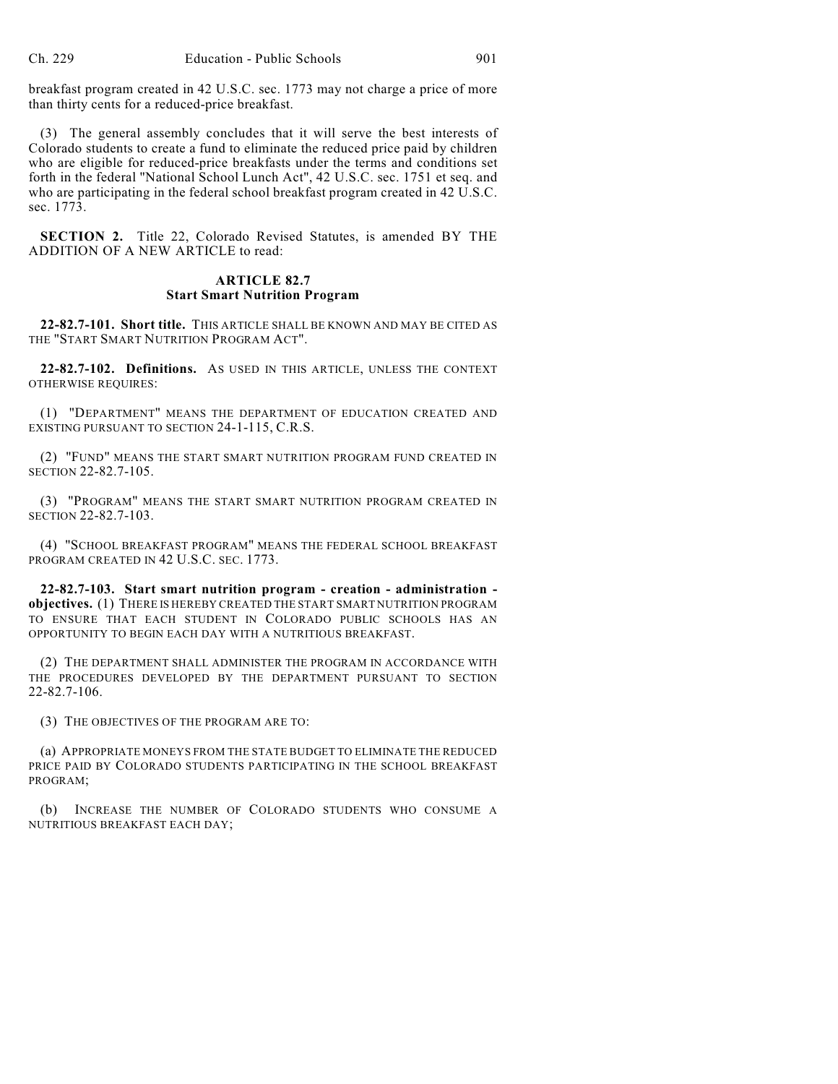breakfast program created in 42 U.S.C. sec. 1773 may not charge a price of more than thirty cents for a reduced-price breakfast.

(3) The general assembly concludes that it will serve the best interests of Colorado students to create a fund to eliminate the reduced price paid by children who are eligible for reduced-price breakfasts under the terms and conditions set forth in the federal "National School Lunch Act", 42 U.S.C. sec. 1751 et seq. and who are participating in the federal school breakfast program created in 42 U.S.C. sec. 1773.

**SECTION 2.** Title 22, Colorado Revised Statutes, is amended BY THE ADDITION OF A NEW ARTICLE to read:

## **ARTICLE 82.7 Start Smart Nutrition Program**

**22-82.7-101. Short title.** THIS ARTICLE SHALL BE KNOWN AND MAY BE CITED AS THE "START SMART NUTRITION PROGRAM ACT".

**22-82.7-102. Definitions.** AS USED IN THIS ARTICLE, UNLESS THE CONTEXT OTHERWISE REQUIRES:

(1) "DEPARTMENT" MEANS THE DEPARTMENT OF EDUCATION CREATED AND EXISTING PURSUANT TO SECTION 24-1-115, C.R.S.

(2) "FUND" MEANS THE START SMART NUTRITION PROGRAM FUND CREATED IN SECTION 22-82.7-105.

(3) "PROGRAM" MEANS THE START SMART NUTRITION PROGRAM CREATED IN SECTION 22-82.7-103.

(4) "SCHOOL BREAKFAST PROGRAM" MEANS THE FEDERAL SCHOOL BREAKFAST PROGRAM CREATED IN 42 U.S.C. SEC. 1773.

**22-82.7-103. Start smart nutrition program - creation - administration objectives.** (1) THERE IS HEREBY CREATED THE START SMART NUTRITION PROGRAM TO ENSURE THAT EACH STUDENT IN COLORADO PUBLIC SCHOOLS HAS AN OPPORTUNITY TO BEGIN EACH DAY WITH A NUTRITIOUS BREAKFAST.

(2) THE DEPARTMENT SHALL ADMINISTER THE PROGRAM IN ACCORDANCE WITH THE PROCEDURES DEVELOPED BY THE DEPARTMENT PURSUANT TO SECTION 22-82.7-106.

(3) THE OBJECTIVES OF THE PROGRAM ARE TO:

(a) APPROPRIATE MONEYS FROM THE STATE BUDGET TO ELIMINATE THE REDUCED PRICE PAID BY COLORADO STUDENTS PARTICIPATING IN THE SCHOOL BREAKFAST PROGRAM;

(b) INCREASE THE NUMBER OF COLORADO STUDENTS WHO CONSUME A NUTRITIOUS BREAKFAST EACH DAY;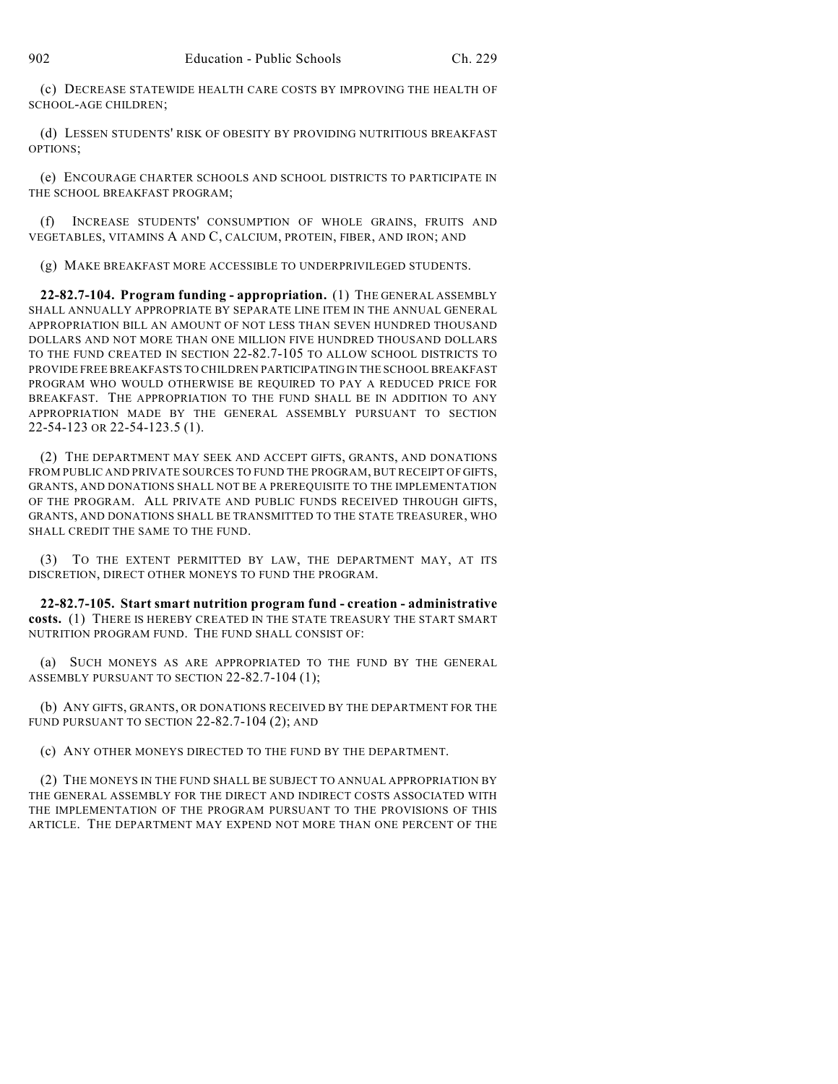(c) DECREASE STATEWIDE HEALTH CARE COSTS BY IMPROVING THE HEALTH OF SCHOOL-AGE CHILDREN;

(d) LESSEN STUDENTS' RISK OF OBESITY BY PROVIDING NUTRITIOUS BREAKFAST OPTIONS;

(e) ENCOURAGE CHARTER SCHOOLS AND SCHOOL DISTRICTS TO PARTICIPATE IN THE SCHOOL BREAKFAST PROGRAM;

(f) INCREASE STUDENTS' CONSUMPTION OF WHOLE GRAINS, FRUITS AND VEGETABLES, VITAMINS A AND C, CALCIUM, PROTEIN, FIBER, AND IRON; AND

(g) MAKE BREAKFAST MORE ACCESSIBLE TO UNDERPRIVILEGED STUDENTS.

**22-82.7-104. Program funding - appropriation.** (1) THE GENERAL ASSEMBLY SHALL ANNUALLY APPROPRIATE BY SEPARATE LINE ITEM IN THE ANNUAL GENERAL APPROPRIATION BILL AN AMOUNT OF NOT LESS THAN SEVEN HUNDRED THOUSAND DOLLARS AND NOT MORE THAN ONE MILLION FIVE HUNDRED THOUSAND DOLLARS TO THE FUND CREATED IN SECTION 22-82.7-105 TO ALLOW SCHOOL DISTRICTS TO PROVIDE FREE BREAKFASTS TO CHILDREN PARTICIPATING IN THE SCHOOL BREAKFAST PROGRAM WHO WOULD OTHERWISE BE REQUIRED TO PAY A REDUCED PRICE FOR BREAKFAST. THE APPROPRIATION TO THE FUND SHALL BE IN ADDITION TO ANY APPROPRIATION MADE BY THE GENERAL ASSEMBLY PURSUANT TO SECTION 22-54-123 OR 22-54-123.5 (1).

(2) THE DEPARTMENT MAY SEEK AND ACCEPT GIFTS, GRANTS, AND DONATIONS FROM PUBLIC AND PRIVATE SOURCES TO FUND THE PROGRAM, BUT RECEIPT OF GIFTS, GRANTS, AND DONATIONS SHALL NOT BE A PREREQUISITE TO THE IMPLEMENTATION OF THE PROGRAM. ALL PRIVATE AND PUBLIC FUNDS RECEIVED THROUGH GIFTS, GRANTS, AND DONATIONS SHALL BE TRANSMITTED TO THE STATE TREASURER, WHO SHALL CREDIT THE SAME TO THE FUND.

(3) TO THE EXTENT PERMITTED BY LAW, THE DEPARTMENT MAY, AT ITS DISCRETION, DIRECT OTHER MONEYS TO FUND THE PROGRAM.

**22-82.7-105. Start smart nutrition program fund - creation - administrative costs.** (1) THERE IS HEREBY CREATED IN THE STATE TREASURY THE START SMART NUTRITION PROGRAM FUND. THE FUND SHALL CONSIST OF:

(a) SUCH MONEYS AS ARE APPROPRIATED TO THE FUND BY THE GENERAL ASSEMBLY PURSUANT TO SECTION 22-82.7-104 (1);

(b) ANY GIFTS, GRANTS, OR DONATIONS RECEIVED BY THE DEPARTMENT FOR THE FUND PURSUANT TO SECTION 22-82.7-104 (2); AND

(c) ANY OTHER MONEYS DIRECTED TO THE FUND BY THE DEPARTMENT.

(2) THE MONEYS IN THE FUND SHALL BE SUBJECT TO ANNUAL APPROPRIATION BY THE GENERAL ASSEMBLY FOR THE DIRECT AND INDIRECT COSTS ASSOCIATED WITH THE IMPLEMENTATION OF THE PROGRAM PURSUANT TO THE PROVISIONS OF THIS ARTICLE. THE DEPARTMENT MAY EXPEND NOT MORE THAN ONE PERCENT OF THE